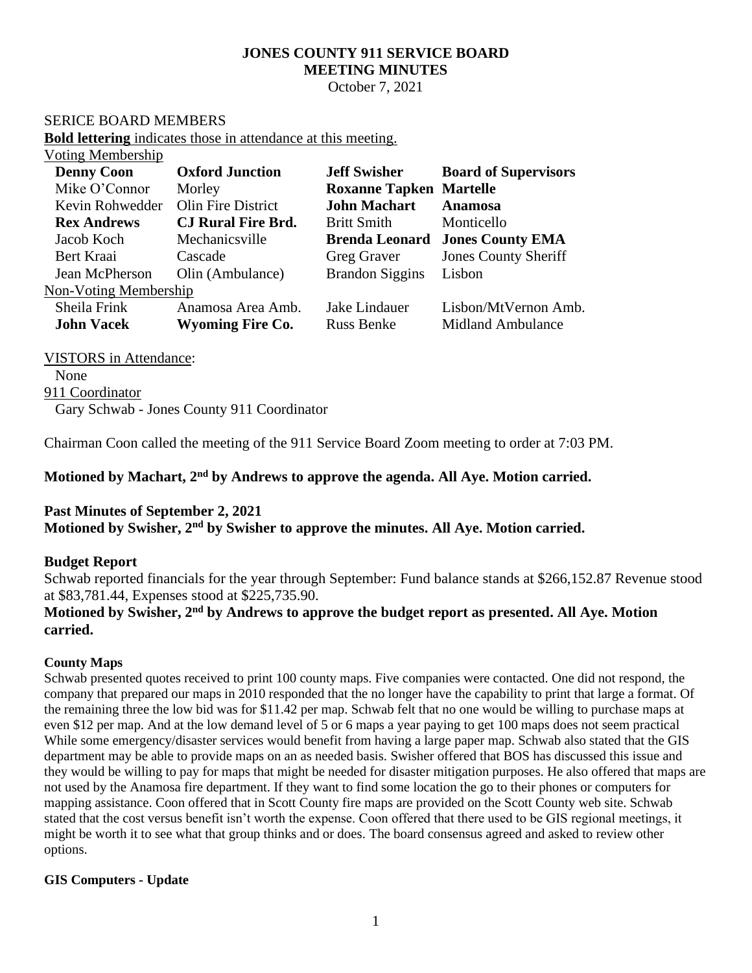# **JONES COUNTY 911 SERVICE BOARD MEETING MINUTES**

October 7, 2021

#### SERICE BOARD MEMBERS

**Bold lettering** indicates those in attendance at this meeting.

| Voting Membership     |                           |                                |                             |
|-----------------------|---------------------------|--------------------------------|-----------------------------|
| <b>Denny Coon</b>     | <b>Oxford Junction</b>    | <b>Jeff Swisher</b>            | <b>Board of Supervisors</b> |
| Mike O'Connor         | Morley                    | <b>Roxanne Tapken Martelle</b> |                             |
| Kevin Rohwedder       | Olin Fire District        | <b>John Machart</b>            | <b>Anamosa</b>              |
| <b>Rex Andrews</b>    | <b>CJ Rural Fire Brd.</b> | <b>Britt Smith</b>             | Monticello                  |
| Jacob Koch            | Mechanicsville            | <b>Brenda Leonard</b>          | <b>Jones County EMA</b>     |
| Bert Kraai            | Cascade                   | <b>Greg Graver</b>             | <b>Jones County Sheriff</b> |
| Jean McPherson        | Olin (Ambulance)          | <b>Brandon Siggins</b>         | Lisbon                      |
| Non-Voting Membership |                           |                                |                             |
| Sheila Frink          | Anamosa Area Amb.         | Jake Lindauer                  | Lisbon/MtVernon Amb.        |
| <b>John Vacek</b>     | <b>Wyoming Fire Co.</b>   | <b>Russ Benke</b>              | <b>Midland Ambulance</b>    |
|                       |                           |                                |                             |

VISTORS in Attendance: None 911 Coordinator Gary Schwab - Jones County 911 Coordinator

Chairman Coon called the meeting of the 911 Service Board Zoom meeting to order at 7:03 PM.

**Motioned by Machart, 2 nd by Andrews to approve the agenda. All Aye. Motion carried.**

### **Past Minutes of September 2, 2021**

**Motioned by Swisher, 2 nd by Swisher to approve the minutes. All Aye. Motion carried.**

#### **Budget Report**

Schwab reported financials for the year through September: Fund balance stands at \$266,152.87 Revenue stood at \$83,781.44, Expenses stood at \$225,735.90.

# **Motioned by Swisher, 2nd by Andrews to approve the budget report as presented. All Aye. Motion carried.**

#### **County Maps**

Schwab presented quotes received to print 100 county maps. Five companies were contacted. One did not respond, the company that prepared our maps in 2010 responded that the no longer have the capability to print that large a format. Of the remaining three the low bid was for \$11.42 per map. Schwab felt that no one would be willing to purchase maps at even \$12 per map. And at the low demand level of 5 or 6 maps a year paying to get 100 maps does not seem practical While some emergency/disaster services would benefit from having a large paper map. Schwab also stated that the GIS department may be able to provide maps on an as needed basis. Swisher offered that BOS has discussed this issue and they would be willing to pay for maps that might be needed for disaster mitigation purposes. He also offered that maps are not used by the Anamosa fire department. If they want to find some location the go to their phones or computers for mapping assistance. Coon offered that in Scott County fire maps are provided on the Scott County web site. Schwab stated that the cost versus benefit isn't worth the expense. Coon offered that there used to be GIS regional meetings, it might be worth it to see what that group thinks and or does. The board consensus agreed and asked to review other options.

#### **GIS Computers - Update**